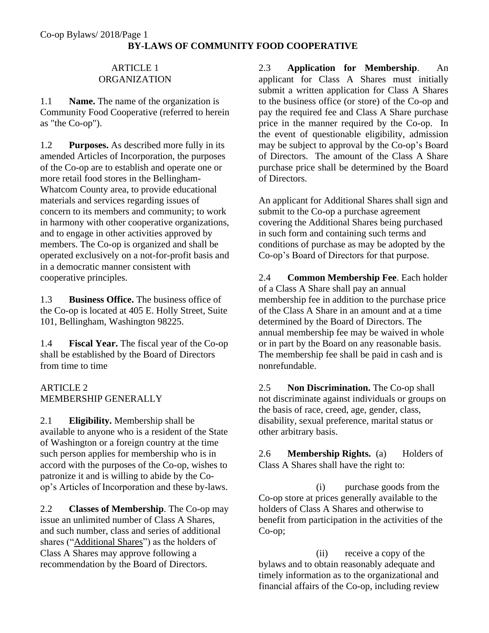#### ARTICLE 1 ORGANIZATION

1.1 **Name.** The name of the organization is Community Food Cooperative (referred to herein as "the Co-op").

1.2 **Purposes.** As described more fully in its amended Articles of Incorporation, the purposes of the Co-op are to establish and operate one or more retail food stores in the Bellingham-Whatcom County area, to provide educational materials and services regarding issues of concern to its members and community; to work in harmony with other cooperative organizations, and to engage in other activities approved by members. The Co-op is organized and shall be operated exclusively on a not-for-profit basis and in a democratic manner consistent with cooperative principles.

1.3 **Business Office.** The business office of the Co-op is located at 405 E. Holly Street, Suite 101, Bellingham, Washington 98225.

1.4 **Fiscal Year.** The fiscal year of the Co-op shall be established by the Board of Directors from time to time

## ARTICLE 2 MEMBERSHIP GENERALLY

2.1 **Eligibility.** Membership shall be available to anyone who is a resident of the State of Washington or a foreign country at the time such person applies for membership who is in accord with the purposes of the Co-op, wishes to patronize it and is willing to abide by the Coop's Articles of Incorporation and these by-laws.

2.2 **Classes of Membership**. The Co-op may issue an unlimited number of Class A Shares, and such number, class and series of additional shares ("Additional Shares") as the holders of Class A Shares may approve following a recommendation by the Board of Directors.

2.3 **Application for Membership**. An applicant for Class A Shares must initially submit a written application for Class A Shares to the business office (or store) of the Co-op and pay the required fee and Class A Share purchase price in the manner required by the Co-op. In the event of questionable eligibility, admission may be subject to approval by the Co-op's Board of Directors. The amount of the Class A Share purchase price shall be determined by the Board of Directors.

An applicant for Additional Shares shall sign and submit to the Co-op a purchase agreement covering the Additional Shares being purchased in such form and containing such terms and conditions of purchase as may be adopted by the Co-op's Board of Directors for that purpose.

2.4 **Common Membership Fee**. Each holder of a Class A Share shall pay an annual membership fee in addition to the purchase price of the Class A Share in an amount and at a time determined by the Board of Directors. The annual membership fee may be waived in whole or in part by the Board on any reasonable basis. The membership fee shall be paid in cash and is nonrefundable.

2.5 **Non Discrimination.** The Co-op shall not discriminate against individuals or groups on the basis of race, creed, age, gender, class, disability, sexual preference, marital status or other arbitrary basis.

2.6 **Membership Rights.** (a) Holders of Class A Shares shall have the right to:

(i) purchase goods from the Co-op store at prices generally available to the holders of Class A Shares and otherwise to benefit from participation in the activities of the Co-op;

(ii) receive a copy of the bylaws and to obtain reasonably adequate and timely information as to the organizational and financial affairs of the Co-op, including review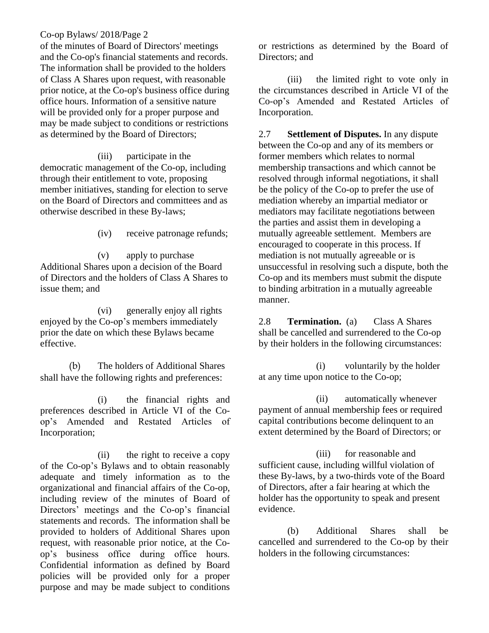of the minutes of Board of Directors' meetings and the Co-op's financial statements and records. The information shall be provided to the holders of Class A Shares upon request, with reasonable prior notice, at the Co-op's business office during office hours. Information of a sensitive nature will be provided only for a proper purpose and may be made subject to conditions or restrictions as determined by the Board of Directors;

(iii) participate in the democratic management of the Co-op, including through their entitlement to vote, proposing member initiatives, standing for election to serve on the Board of Directors and committees and as otherwise described in these By-laws;

(iv) receive patronage refunds;

(v) apply to purchase Additional Shares upon a decision of the Board of Directors and the holders of Class A Shares to issue them; and

(vi) generally enjoy all rights enjoyed by the Co-op's members immediately prior the date on which these Bylaws became effective.

(b) The holders of Additional Shares shall have the following rights and preferences:

(i) the financial rights and preferences described in Article VI of the Coop's Amended and Restated Articles of Incorporation;

(ii) the right to receive a copy of the Co-op's Bylaws and to obtain reasonably adequate and timely information as to the organizational and financial affairs of the Co-op, including review of the minutes of Board of Directors' meetings and the Co-op's financial statements and records. The information shall be provided to holders of Additional Shares upon request, with reasonable prior notice, at the Coop's business office during office hours. Confidential information as defined by Board policies will be provided only for a proper purpose and may be made subject to conditions

or restrictions as determined by the Board of Directors; and

(iii) the limited right to vote only in the circumstances described in Article VI of the Co-op's Amended and Restated Articles of Incorporation.

2.7 **Settlement of Disputes.** In any dispute between the Co-op and any of its members or former members which relates to normal membership transactions and which cannot be resolved through informal negotiations, it shall be the policy of the Co-op to prefer the use of mediation whereby an impartial mediator or mediators may facilitate negotiations between the parties and assist them in developing a mutually agreeable settlement. Members are encouraged to cooperate in this process. If mediation is not mutually agreeable or is unsuccessful in resolving such a dispute, both the Co-op and its members must submit the dispute to binding arbitration in a mutually agreeable manner.

2.8 **Termination.** (a) Class A Shares shall be cancelled and surrendered to the Co-op by their holders in the following circumstances:

(i) voluntarily by the holder at any time upon notice to the Co-op;

(ii) automatically whenever payment of annual membership fees or required capital contributions become delinquent to an extent determined by the Board of Directors; or

(iii) for reasonable and sufficient cause, including willful violation of these By-laws, by a two-thirds vote of the Board of Directors, after a fair hearing at which the holder has the opportunity to speak and present evidence.

(b) Additional Shares shall be cancelled and surrendered to the Co-op by their holders in the following circumstances: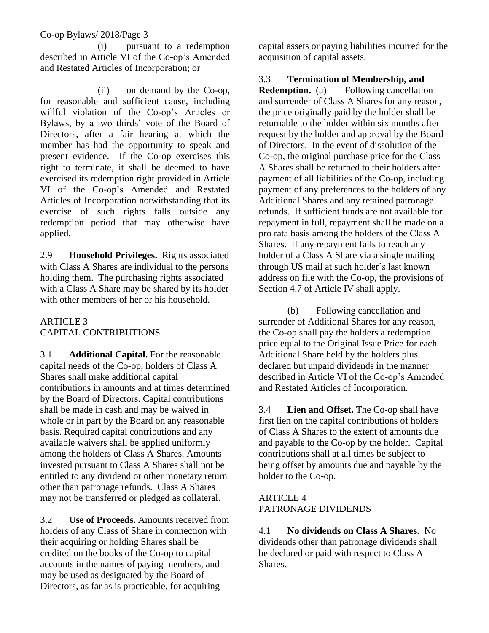(i) pursuant to a redemption described in Article VI of the Co-op's Amended and Restated Articles of Incorporation; or

(ii) on demand by the Co-op, for reasonable and sufficient cause, including willful violation of the Co-op's Articles or Bylaws, by a two thirds' vote of the Board of Directors, after a fair hearing at which the member has had the opportunity to speak and present evidence. If the Co-op exercises this right to terminate, it shall be deemed to have exercised its redemption right provided in Article VI of the Co-op's Amended and Restated Articles of Incorporation notwithstanding that its exercise of such rights falls outside any redemption period that may otherwise have applied.

2.9 **Household Privileges.** Rights associated with Class A Shares are individual to the persons holding them. The purchasing rights associated with a Class A Share may be shared by its holder with other members of her or his household.

### ARTICLE 3 CAPITAL CONTRIBUTIONS

3.1 **Additional Capital.** For the reasonable capital needs of the Co-op, holders of Class A Shares shall make additional capital contributions in amounts and at times determined by the Board of Directors. Capital contributions shall be made in cash and may be waived in whole or in part by the Board on any reasonable basis. Required capital contributions and any available waivers shall be applied uniformly among the holders of Class A Shares. Amounts invested pursuant to Class A Shares shall not be entitled to any dividend or other monetary return other than patronage refunds. Class A Shares may not be transferred or pledged as collateral.

3.2 **Use of Proceeds.** Amounts received from holders of any Class of Share in connection with their acquiring or holding Shares shall be credited on the books of the Co-op to capital accounts in the names of paying members, and may be used as designated by the Board of Directors, as far as is practicable, for acquiring

capital assets or paying liabilities incurred for the acquisition of capital assets.

### 3.3 **Termination of Membership, and**

**Redemption.** (a) Following cancellation and surrender of Class A Shares for any reason, the price originally paid by the holder shall be returnable to the holder within six months after request by the holder and approval by the Board of Directors. In the event of dissolution of the Co-op, the original purchase price for the Class A Shares shall be returned to their holders after payment of all liabilities of the Co-op, including payment of any preferences to the holders of any Additional Shares and any retained patronage refunds. If sufficient funds are not available for repayment in full, repayment shall be made on a pro rata basis among the holders of the Class A Shares. If any repayment fails to reach any holder of a Class A Share via a single mailing through US mail at such holder's last known address on file with the Co-op, the provisions of Section 4.7 of Article IV shall apply.

(b) Following cancellation and surrender of Additional Shares for any reason, the Co-op shall pay the holders a redemption price equal to the Original Issue Price for each Additional Share held by the holders plus declared but unpaid dividends in the manner described in Article VI of the Co-op's Amended and Restated Articles of Incorporation.

3.4 **Lien and Offset.** The Co-op shall have first lien on the capital contributions of holders of Class A Shares to the extent of amounts due and payable to the Co-op by the holder. Capital contributions shall at all times be subject to being offset by amounts due and payable by the holder to the Co-op.

#### ARTICLE 4 PATRONAGE DIVIDENDS

4.1 **No dividends on Class A Shares**. No dividends other than patronage dividends shall be declared or paid with respect to Class A Shares.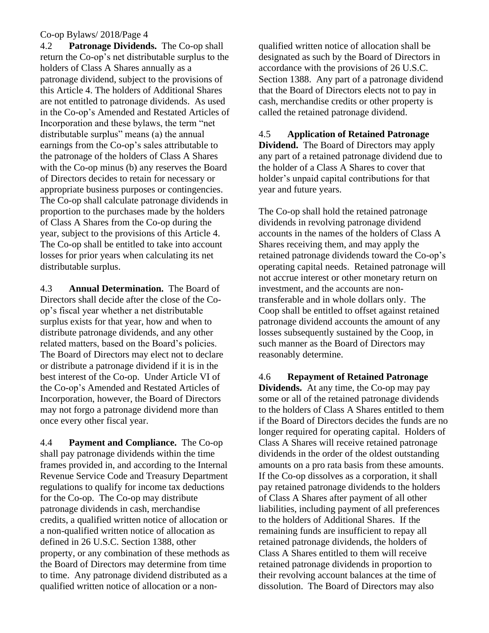4.2 **Patronage Dividends.** The Co-op shall return the Co-op's net distributable surplus to the holders of Class A Shares annually as a patronage dividend, subject to the provisions of this Article 4. The holders of Additional Shares are not entitled to patronage dividends. As used in the Co-op's Amended and Restated Articles of Incorporation and these bylaws, the term "net distributable surplus" means (a) the annual earnings from the Co-op's sales attributable to the patronage of the holders of Class A Shares with the Co-op minus (b) any reserves the Board of Directors decides to retain for necessary or appropriate business purposes or contingencies. The Co-op shall calculate patronage dividends in proportion to the purchases made by the holders of Class A Shares from the Co-op during the year, subject to the provisions of this Article 4. The Co-op shall be entitled to take into account losses for prior years when calculating its net distributable surplus.

4.3 **Annual Determination.** The Board of Directors shall decide after the close of the Coop's fiscal year whether a net distributable surplus exists for that year, how and when to distribute patronage dividends, and any other related matters, based on the Board's policies. The Board of Directors may elect not to declare or distribute a patronage dividend if it is in the best interest of the Co-op. Under Article VI of the Co-op's Amended and Restated Articles of Incorporation, however, the Board of Directors may not forgo a patronage dividend more than once every other fiscal year.

4.4 **Payment and Compliance.** The Co-op shall pay patronage dividends within the time frames provided in, and according to the Internal Revenue Service Code and Treasury Department regulations to qualify for income tax deductions for the Co-op. The Co-op may distribute patronage dividends in cash, merchandise credits, a qualified written notice of allocation or a non-qualified written notice of allocation as defined in 26 U.S.C. Section 1388, other property, or any combination of these methods as the Board of Directors may determine from time to time. Any patronage dividend distributed as a qualified written notice of allocation or a nonqualified written notice of allocation shall be designated as such by the Board of Directors in accordance with the provisions of 26 U.S.C. Section 1388. Any part of a patronage dividend that the Board of Directors elects not to pay in cash, merchandise credits or other property is called the retained patronage dividend.

4.5 **Application of Retained Patronage Dividend.** The Board of Directors may apply any part of a retained patronage dividend due to the holder of a Class A Shares to cover that holder's unpaid capital contributions for that year and future years.

The Co-op shall hold the retained patronage dividends in revolving patronage dividend accounts in the names of the holders of Class A Shares receiving them, and may apply the retained patronage dividends toward the Co-op's operating capital needs. Retained patronage will not accrue interest or other monetary return on investment, and the accounts are nontransferable and in whole dollars only. The Coop shall be entitled to offset against retained patronage dividend accounts the amount of any losses subsequently sustained by the Coop, in such manner as the Board of Directors may reasonably determine.

4.6 **Repayment of Retained Patronage Dividends.** At any time, the Co-op may pay some or all of the retained patronage dividends to the holders of Class A Shares entitled to them if the Board of Directors decides the funds are no longer required for operating capital. Holders of Class A Shares will receive retained patronage dividends in the order of the oldest outstanding amounts on a pro rata basis from these amounts. If the Co-op dissolves as a corporation, it shall pay retained patronage dividends to the holders of Class A Shares after payment of all other liabilities, including payment of all preferences to the holders of Additional Shares. If the remaining funds are insufficient to repay all retained patronage dividends, the holders of Class A Shares entitled to them will receive retained patronage dividends in proportion to their revolving account balances at the time of dissolution. The Board of Directors may also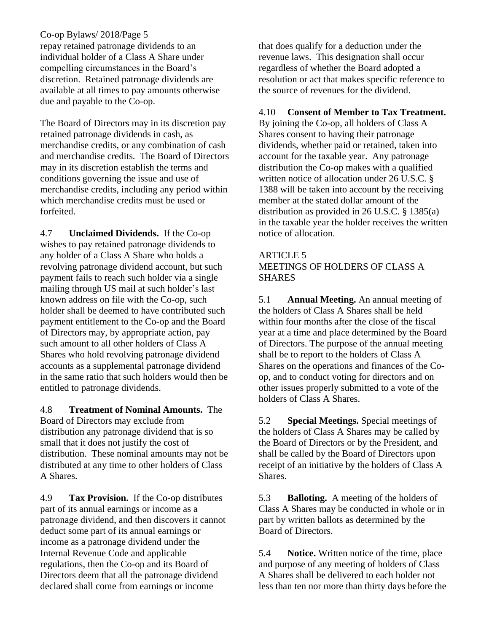repay retained patronage dividends to an individual holder of a Class A Share under compelling circumstances in the Board's discretion. Retained patronage dividends are available at all times to pay amounts otherwise due and payable to the Co-op.

The Board of Directors may in its discretion pay retained patronage dividends in cash, as merchandise credits, or any combination of cash and merchandise credits. The Board of Directors may in its discretion establish the terms and conditions governing the issue and use of merchandise credits, including any period within which merchandise credits must be used or forfeited.

4.7 **Unclaimed Dividends.** If the Co-op wishes to pay retained patronage dividends to any holder of a Class A Share who holds a revolving patronage dividend account, but such payment fails to reach such holder via a single mailing through US mail at such holder's last known address on file with the Co-op, such holder shall be deemed to have contributed such payment entitlement to the Co-op and the Board of Directors may, by appropriate action, pay such amount to all other holders of Class A Shares who hold revolving patronage dividend accounts as a supplemental patronage dividend in the same ratio that such holders would then be entitled to patronage dividends.

4.8 **Treatment of Nominal Amounts.** The Board of Directors may exclude from distribution any patronage dividend that is so small that it does not justify the cost of distribution. These nominal amounts may not be distributed at any time to other holders of Class A Shares.

4.9 **Tax Provision.** If the Co-op distributes part of its annual earnings or income as a patronage dividend, and then discovers it cannot deduct some part of its annual earnings or income as a patronage dividend under the Internal Revenue Code and applicable regulations, then the Co-op and its Board of Directors deem that all the patronage dividend declared shall come from earnings or income

that does qualify for a deduction under the revenue laws. This designation shall occur regardless of whether the Board adopted a resolution or act that makes specific reference to the source of revenues for the dividend.

### 4.10 **Consent of Member to Tax Treatment.**

By joining the Co-op, all holders of Class A Shares consent to having their patronage dividends, whether paid or retained, taken into account for the taxable year. Any patronage distribution the Co-op makes with a qualified written notice of allocation under 26 U.S.C. § 1388 will be taken into account by the receiving member at the stated dollar amount of the distribution as provided in 26 U.S.C. § 1385(a) in the taxable year the holder receives the written notice of allocation.

## ARTICLE 5 MEETINGS OF HOLDERS OF CLASS A **SHARES**

5.1 **Annual Meeting.** An annual meeting of the holders of Class A Shares shall be held within four months after the close of the fiscal year at a time and place determined by the Board of Directors. The purpose of the annual meeting shall be to report to the holders of Class A Shares on the operations and finances of the Coop, and to conduct voting for directors and on other issues properly submitted to a vote of the holders of Class A Shares.

5.2 **Special Meetings.** Special meetings of the holders of Class A Shares may be called by the Board of Directors or by the President, and shall be called by the Board of Directors upon receipt of an initiative by the holders of Class A Shares.

5.3 **Balloting.** A meeting of the holders of Class A Shares may be conducted in whole or in part by written ballots as determined by the Board of Directors.

5.4 **Notice.** Written notice of the time, place and purpose of any meeting of holders of Class A Shares shall be delivered to each holder not less than ten nor more than thirty days before the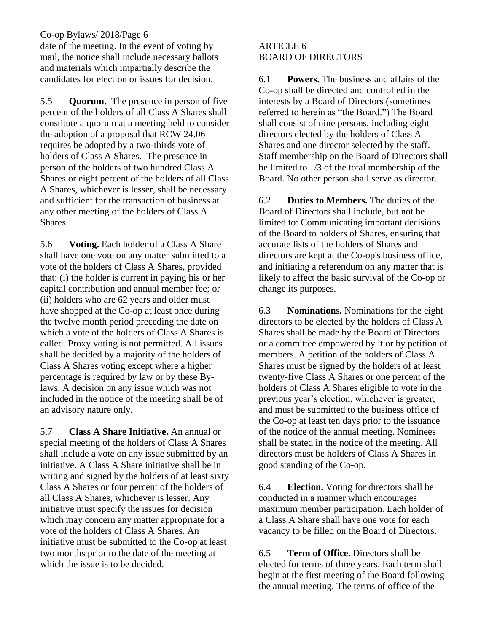date of the meeting. In the event of voting by mail, the notice shall include necessary ballots and materials which impartially describe the candidates for election or issues for decision.

5.5 **Quorum.** The presence in person of five percent of the holders of all Class A Shares shall constitute a quorum at a meeting held to consider the adoption of a proposal that RCW 24.06 requires be adopted by a two-thirds vote of holders of Class A Shares. The presence in person of the holders of two hundred Class A Shares or eight percent of the holders of all Class A Shares, whichever is lesser, shall be necessary and sufficient for the transaction of business at any other meeting of the holders of Class A Shares.

5.6 **Voting.** Each holder of a Class A Share shall have one vote on any matter submitted to a vote of the holders of Class A Shares, provided that: (i) the holder is current in paying his or her capital contribution and annual member fee; or (ii) holders who are 62 years and older must have shopped at the Co-op at least once during the twelve month period preceding the date on which a vote of the holders of Class A Shares is called. Proxy voting is not permitted. All issues shall be decided by a majority of the holders of Class A Shares voting except where a higher percentage is required by law or by these Bylaws. A decision on any issue which was not included in the notice of the meeting shall be of an advisory nature only.

5.7 **Class A Share Initiative.** An annual or special meeting of the holders of Class A Shares shall include a vote on any issue submitted by an initiative. A Class A Share initiative shall be in writing and signed by the holders of at least sixty Class A Shares or four percent of the holders of all Class A Shares, whichever is lesser. Any initiative must specify the issues for decision which may concern any matter appropriate for a vote of the holders of Class A Shares. An initiative must be submitted to the Co-op at least two months prior to the date of the meeting at which the issue is to be decided.

### ARTICLE 6 BOARD OF DIRECTORS

6.1 **Powers.** The business and affairs of the Co-op shall be directed and controlled in the interests by a Board of Directors (sometimes referred to herein as "the Board.") The Board shall consist of nine persons, including eight directors elected by the holders of Class A Shares and one director selected by the staff. Staff membership on the Board of Directors shall be limited to 1/3 of the total membership of the Board. No other person shall serve as director.

6.2 **Duties to Members.** The duties of the Board of Directors shall include, but not be limited to: Communicating important decisions of the Board to holders of Shares, ensuring that accurate lists of the holders of Shares and directors are kept at the Co-op's business office, and initiating a referendum on any matter that is likely to affect the basic survival of the Co-op or change its purposes.

6.3 **Nominations.** Nominations for the eight directors to be elected by the holders of Class A Shares shall be made by the Board of Directors or a committee empowered by it or by petition of members. A petition of the holders of Class A Shares must be signed by the holders of at least twenty-five Class A Shares or one percent of the holders of Class A Shares eligible to vote in the previous year's election, whichever is greater, and must be submitted to the business office of the Co-op at least ten days prior to the issuance of the notice of the annual meeting. Nominees shall be stated in the notice of the meeting. All directors must be holders of Class A Shares in good standing of the Co-op.

6.4 **Election.** Voting for directors shall be conducted in a manner which encourages maximum member participation. Each holder of a Class A Share shall have one vote for each vacancy to be filled on the Board of Directors.

6.5 **Term of Office.** Directors shall be elected for terms of three years. Each term shall begin at the first meeting of the Board following the annual meeting. The terms of office of the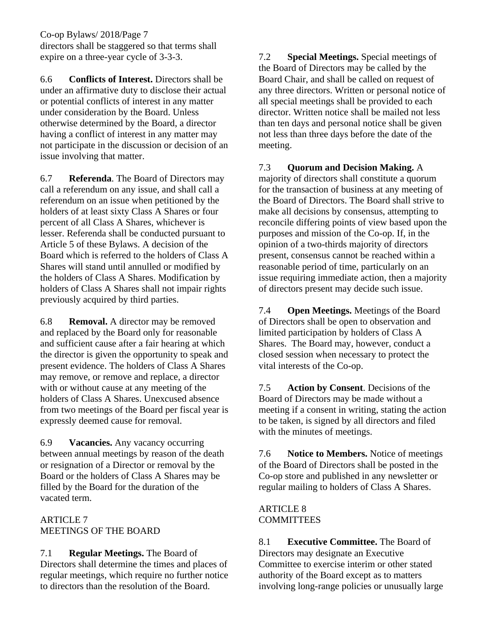directors shall be staggered so that terms shall expire on a three-year cycle of 3-3-3.

6.6 **Conflicts of Interest.** Directors shall be under an affirmative duty to disclose their actual or potential conflicts of interest in any matter under consideration by the Board. Unless otherwise determined by the Board, a director having a conflict of interest in any matter may not participate in the discussion or decision of an issue involving that matter.

6.7 **Referenda**. The Board of Directors may call a referendum on any issue, and shall call a referendum on an issue when petitioned by the holders of at least sixty Class A Shares or four percent of all Class A Shares, whichever is lesser. Referenda shall be conducted pursuant to Article 5 of these Bylaws. A decision of the Board which is referred to the holders of Class A Shares will stand until annulled or modified by the holders of Class A Shares. Modification by holders of Class A Shares shall not impair rights previously acquired by third parties.

6.8 **Removal.** A director may be removed and replaced by the Board only for reasonable and sufficient cause after a fair hearing at which the director is given the opportunity to speak and present evidence. The holders of Class A Shares may remove, or remove and replace, a director with or without cause at any meeting of the holders of Class A Shares. Unexcused absence from two meetings of the Board per fiscal year is expressly deemed cause for removal.

6.9 **Vacancies.** Any vacancy occurring between annual meetings by reason of the death or resignation of a Director or removal by the Board or the holders of Class A Shares may be filled by the Board for the duration of the vacated term.

## ARTICLE 7 MEETINGS OF THE BOARD

# 7.1 **Regular Meetings.** The Board of

Directors shall determine the times and places of regular meetings, which require no further notice to directors than the resolution of the Board.

7.2 **Special Meetings.** Special meetings of the Board of Directors may be called by the Board Chair, and shall be called on request of any three directors. Written or personal notice of all special meetings shall be provided to each director. Written notice shall be mailed not less than ten days and personal notice shall be given not less than three days before the date of the meeting.

7.3 **Quorum and Decision Making.** A majority of directors shall constitute a quorum for the transaction of business at any meeting of the Board of Directors. The Board shall strive to make all decisions by consensus, attempting to reconcile differing points of view based upon the purposes and mission of the Co-op. If, in the opinion of a two-thirds majority of directors present, consensus cannot be reached within a reasonable period of time, particularly on an issue requiring immediate action, then a majority of directors present may decide such issue.

7.4 **Open Meetings.** Meetings of the Board of Directors shall be open to observation and limited participation by holders of Class A Shares. The Board may, however, conduct a closed session when necessary to protect the vital interests of the Co-op.

7.5 **Action by Consent**. Decisions of the Board of Directors may be made without a meeting if a consent in writing, stating the action to be taken, is signed by all directors and filed with the minutes of meetings.

7.6 **Notice to Members.** Notice of meetings of the Board of Directors shall be posted in the Co-op store and published in any newsletter or regular mailing to holders of Class A Shares.

## ARTICLE 8 **COMMITTEES**

8.1 **Executive Committee.** The Board of Directors may designate an Executive Committee to exercise interim or other stated authority of the Board except as to matters involving long-range policies or unusually large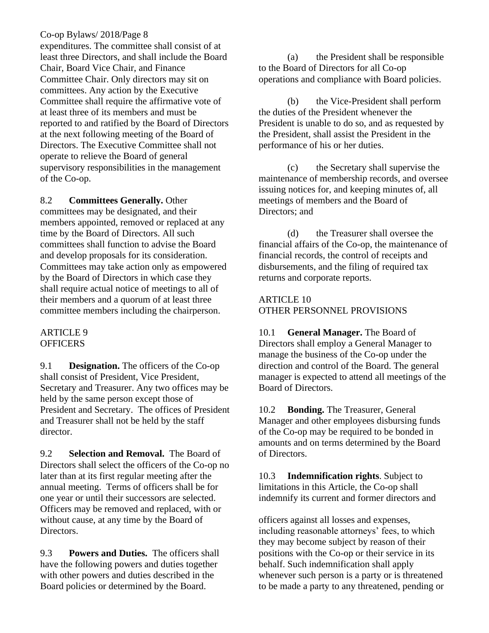expenditures. The committee shall consist of at least three Directors, and shall include the Board Chair, Board Vice Chair, and Finance Committee Chair. Only directors may sit on committees. Any action by the Executive Committee shall require the affirmative vote of at least three of its members and must be reported to and ratified by the Board of Directors at the next following meeting of the Board of Directors. The Executive Committee shall not operate to relieve the Board of general supervisory responsibilities in the management of the Co-op.

### 8.2 **Committees Generally.** Other

committees may be designated, and their members appointed, removed or replaced at any time by the Board of Directors. All such committees shall function to advise the Board and develop proposals for its consideration. Committees may take action only as empowered by the Board of Directors in which case they shall require actual notice of meetings to all of their members and a quorum of at least three committee members including the chairperson.

### ARTICLE 9 **OFFICERS**

9.1 **Designation.** The officers of the Co-op shall consist of President, Vice President, Secretary and Treasurer. Any two offices may be held by the same person except those of President and Secretary. The offices of President and Treasurer shall not be held by the staff director.

9.2 **Selection and Removal.** The Board of Directors shall select the officers of the Co-op no later than at its first regular meeting after the annual meeting. Terms of officers shall be for one year or until their successors are selected. Officers may be removed and replaced, with or without cause, at any time by the Board of Directors.

9.3 **Powers and Duties.** The officers shall have the following powers and duties together with other powers and duties described in the Board policies or determined by the Board.

(a) the President shall be responsible to the Board of Directors for all Co-op operations and compliance with Board policies.

(b) the Vice-President shall perform the duties of the President whenever the President is unable to do so, and as requested by the President, shall assist the President in the performance of his or her duties.

(c) the Secretary shall supervise the maintenance of membership records, and oversee issuing notices for, and keeping minutes of, all meetings of members and the Board of Directors; and

(d) the Treasurer shall oversee the financial affairs of the Co-op, the maintenance of financial records, the control of receipts and disbursements, and the filing of required tax returns and corporate reports.

## ARTICLE 10 OTHER PERSONNEL PROVISIONS

10.1 **General Manager.** The Board of Directors shall employ a General Manager to manage the business of the Co-op under the direction and control of the Board. The general manager is expected to attend all meetings of the Board of Directors.

10.2 **Bonding.** The Treasurer, General Manager and other employees disbursing funds of the Co-op may be required to be bonded in amounts and on terms determined by the Board of Directors.

10.3 **Indemnification rights**. Subject to limitations in this Article, the Co-op shall indemnify its current and former directors and

officers against all losses and expenses, including reasonable attorneys' fees, to which they may become subject by reason of their positions with the Co-op or their service in its behalf. Such indemnification shall apply whenever such person is a party or is threatened to be made a party to any threatened, pending or